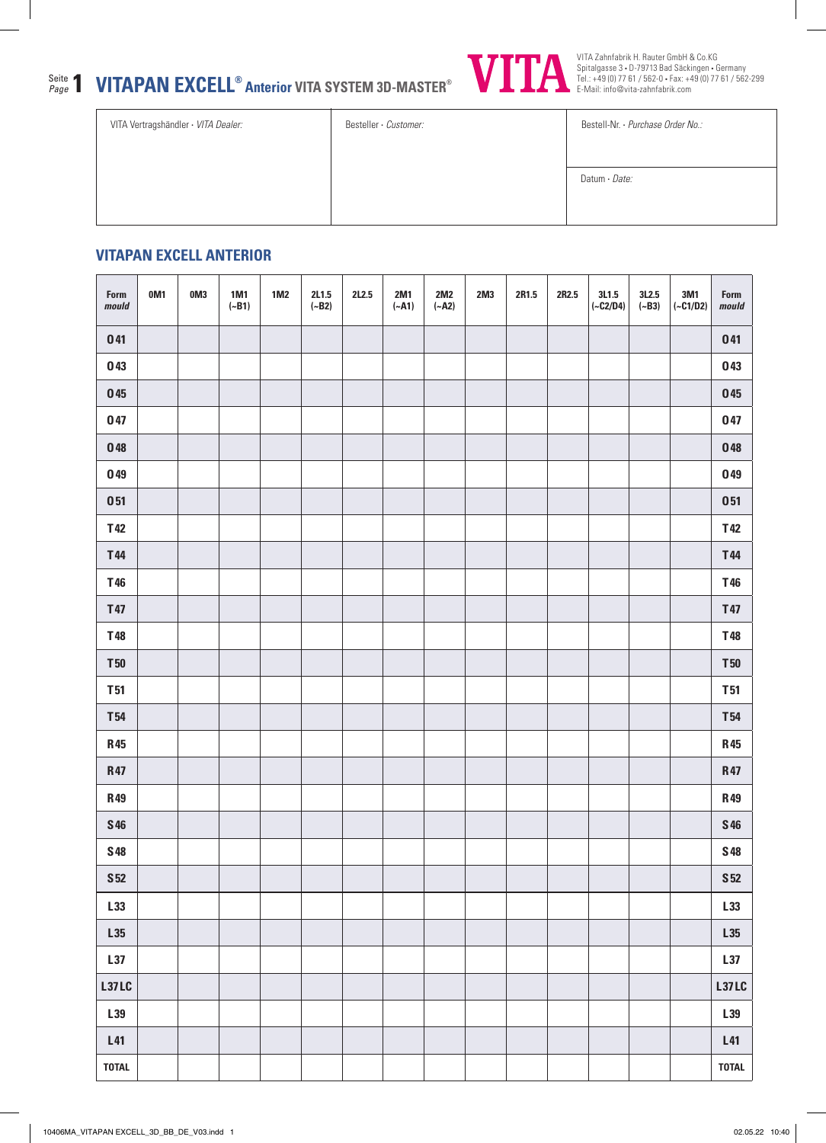## **VITAPAN EXCELL® Anterior VITA SYSTEM 3D-MASTER®** Seite Page **1**



VITA Zahnfabrik H. Rauter GmbH & Co.KG Spitalgasse 3 • D-79713 Bad Säckingen • Germany Tel.: +49 (0) 77 61 / 562-0 • Fax: +49 (0) 77 61 / 562-299 E-Mail: info@vita-zahnfabrik.com

| VITA Vertragshändler · VITA Dealer: | Besteller · Customer: | Bestell-Nr. · Purchase Order No.: |
|-------------------------------------|-----------------------|-----------------------------------|
|                                     |                       |                                   |
|                                     |                       | Datum · Date:                     |
|                                     |                       |                                   |
|                                     |                       |                                   |

## **VITAPAN EXCELL ANTERIOR**

| Form<br>mould   | OM <sub>1</sub> | 0M3 | 1M1<br>$(-B1)$ | $1M2$ | 2L1.5<br>$(-B2)$ | 2L2.5 | 2M1<br>$(-A1)$ | 2M2<br>$(-A2)$ | 2M3 | 2R1.5 | 2R2.5 | 3L1.5<br>$(-C2/D4)$ | 3L2.5<br>$(-B3)$ | 3M1<br>$(-C1/D2)$ | Form<br>mould   |
|-----------------|-----------------|-----|----------------|-------|------------------|-------|----------------|----------------|-----|-------|-------|---------------------|------------------|-------------------|-----------------|
| 041             |                 |     |                |       |                  |       |                |                |     |       |       |                     |                  |                   | 041             |
| 043             |                 |     |                |       |                  |       |                |                |     |       |       |                     |                  |                   | 043             |
| ${\bf 0}$ 45    |                 |     |                |       |                  |       |                |                |     |       |       |                     |                  |                   | 045             |
| 047             |                 |     |                |       |                  |       |                |                |     |       |       |                     |                  |                   | 047             |
| 048             |                 |     |                |       |                  |       |                |                |     |       |       |                     |                  |                   | 048             |
| 049             |                 |     |                |       |                  |       |                |                |     |       |       |                     |                  |                   | 049             |
| 051             |                 |     |                |       |                  |       |                |                |     |       |       |                     |                  |                   | 051             |
| T42             |                 |     |                |       |                  |       |                |                |     |       |       |                     |                  |                   | T42             |
| T44             |                 |     |                |       |                  |       |                |                |     |       |       |                     |                  |                   | T44             |
| T46             |                 |     |                |       |                  |       |                |                |     |       |       |                     |                  |                   | T46             |
| T47             |                 |     |                |       |                  |       |                |                |     |       |       |                     |                  |                   | T47             |
| T48             |                 |     |                |       |                  |       |                |                |     |       |       |                     |                  |                   | T48             |
| $T50$           |                 |     |                |       |                  |       |                |                |     |       |       |                     |                  |                   | <b>T50</b>      |
| <b>T51</b>      |                 |     |                |       |                  |       |                |                |     |       |       |                     |                  |                   | <b>T51</b>      |
| <b>T54</b>      |                 |     |                |       |                  |       |                |                |     |       |       |                     |                  |                   | <b>T54</b>      |
| <b>R45</b>      |                 |     |                |       |                  |       |                |                |     |       |       |                     |                  |                   | <b>R45</b>      |
| <b>R47</b>      |                 |     |                |       |                  |       |                |                |     |       |       |                     |                  |                   | <b>R47</b>      |
| <b>R49</b>      |                 |     |                |       |                  |       |                |                |     |       |       |                     |                  |                   | <b>R49</b>      |
| $\sqrt{546}$    |                 |     |                |       |                  |       |                |                |     |       |       |                     |                  |                   | ${\bf S46}$     |
| <b>S48</b>      |                 |     |                |       |                  |       |                |                |     |       |       |                     |                  |                   | <b>S48</b>      |
| S <sub>52</sub> |                 |     |                |       |                  |       |                |                |     |       |       |                     |                  |                   | S <sub>52</sub> |
| L33             |                 |     |                |       |                  |       |                |                |     |       |       |                     |                  |                   | L33             |
| L35             |                 |     |                |       |                  |       |                |                |     |       |       |                     |                  |                   | L35             |
| L37             |                 |     |                |       |                  |       |                |                |     |       |       |                     |                  |                   | L37             |
| <b>L37LC</b>    |                 |     |                |       |                  |       |                |                |     |       |       |                     |                  |                   | L37LC           |
| L39             |                 |     |                |       |                  |       |                |                |     |       |       |                     |                  |                   | L39             |
| L41             |                 |     |                |       |                  |       |                |                |     |       |       |                     |                  |                   | L41             |
| <b>TOTAL</b>    |                 |     |                |       |                  |       |                |                |     |       |       |                     |                  |                   | <b>TOTAL</b>    |